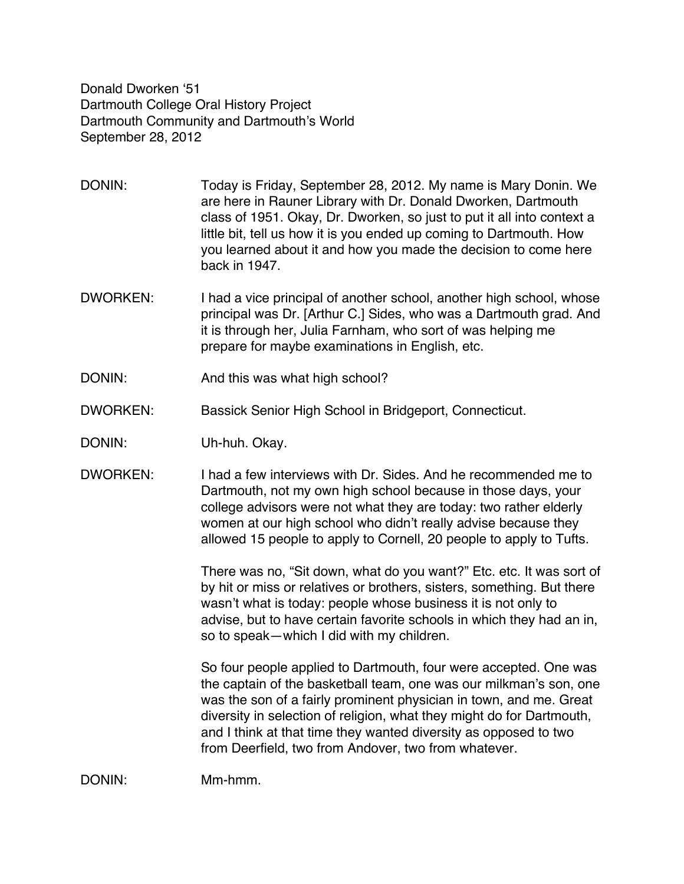Donald Dworken '51 Dartmouth College Oral History Project Dartmouth Community and Dartmouth's World September 28, 2012

DONIN: Today is Friday, September 28, 2012. My name is Mary Donin. We are here in Rauner Library with Dr. Donald Dworken, Dartmouth class of 1951. Okay, Dr. Dworken, so just to put it all into context a little bit, tell us how it is you ended up coming to Dartmouth. How you learned about it and how you made the decision to come here back in 1947.

- DWORKEN: I had a vice principal of another school, another high school, whose principal was Dr. [Arthur C.] Sides, who was a Dartmouth grad. And it is through her, Julia Farnham, who sort of was helping me prepare for maybe examinations in English, etc.
- DONIN: And this was what high school?
- DWORKEN: Bassick Senior High School in Bridgeport, Connecticut.
- DONIN: Uh-huh. Okay.
- DWORKEN: I had a few interviews with Dr. Sides. And he recommended me to Dartmouth, not my own high school because in those days, your college advisors were not what they are today: two rather elderly women at our high school who didn't really advise because they allowed 15 people to apply to Cornell, 20 people to apply to Tufts.

There was no, "Sit down, what do you want?" Etc. etc. It was sort of by hit or miss or relatives or brothers, sisters, something. But there wasn't what is today: people whose business it is not only to advise, but to have certain favorite schools in which they had an in, so to speak—which I did with my children.

So four people applied to Dartmouth, four were accepted. One was the captain of the basketball team, one was our milkman's son, one was the son of a fairly prominent physician in town, and me. Great diversity in selection of religion, what they might do for Dartmouth, and I think at that time they wanted diversity as opposed to two from Deerfield, two from Andover, two from whatever.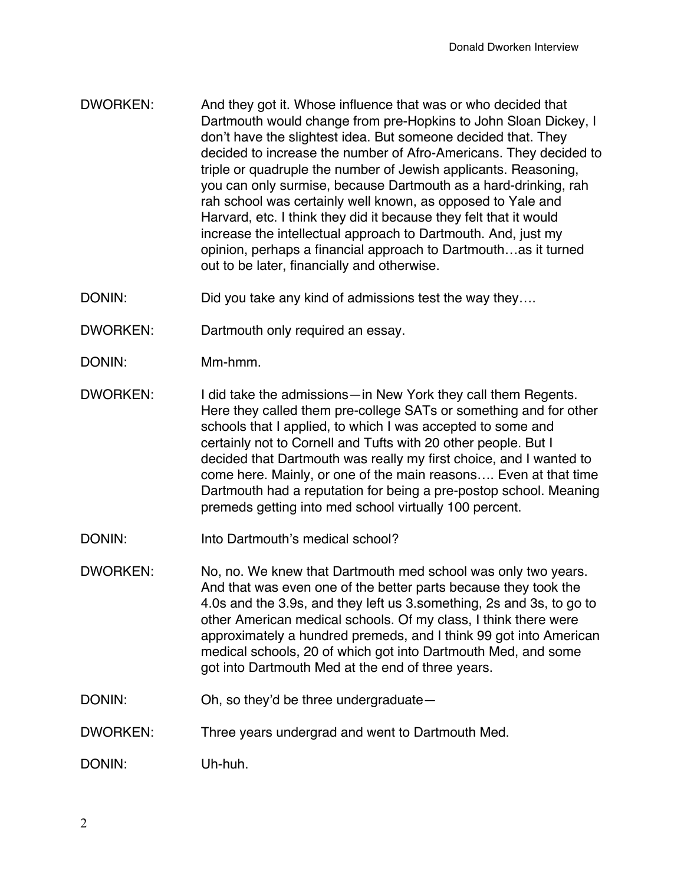- DWORKEN: And they got it. Whose influence that was or who decided that Dartmouth would change from pre-Hopkins to John Sloan Dickey, I don't have the slightest idea. But someone decided that. They decided to increase the number of Afro-Americans. They decided to triple or quadruple the number of Jewish applicants. Reasoning, you can only surmise, because Dartmouth as a hard-drinking, rah rah school was certainly well known, as opposed to Yale and Harvard, etc. I think they did it because they felt that it would increase the intellectual approach to Dartmouth. And, just my opinion, perhaps a financial approach to Dartmouth…as it turned out to be later, financially and otherwise.
- DONIN: DONIN: Did you take any kind of admissions test the way they....
- DWORKEN: Dartmouth only required an essay.
- DONIN: Mm-hmm.
- DWORKEN: I did take the admissions—in New York they call them Regents. Here they called them pre-college SATs or something and for other schools that I applied, to which I was accepted to some and certainly not to Cornell and Tufts with 20 other people. But I decided that Dartmouth was really my first choice, and I wanted to come here. Mainly, or one of the main reasons…. Even at that time Dartmouth had a reputation for being a pre-postop school. Meaning premeds getting into med school virtually 100 percent.
- DONIN: Into Dartmouth's medical school?
- DWORKEN: No, no. We knew that Dartmouth med school was only two years. And that was even one of the better parts because they took the 4.0s and the 3.9s, and they left us 3.something, 2s and 3s, to go to other American medical schools. Of my class, I think there were approximately a hundred premeds, and I think 99 got into American medical schools, 20 of which got into Dartmouth Med, and some got into Dartmouth Med at the end of three years.
- DONIN: Oh, so they'd be three undergraduate—
- DWORKEN: Three years undergrad and went to Dartmouth Med.

DONIN: Uh-huh.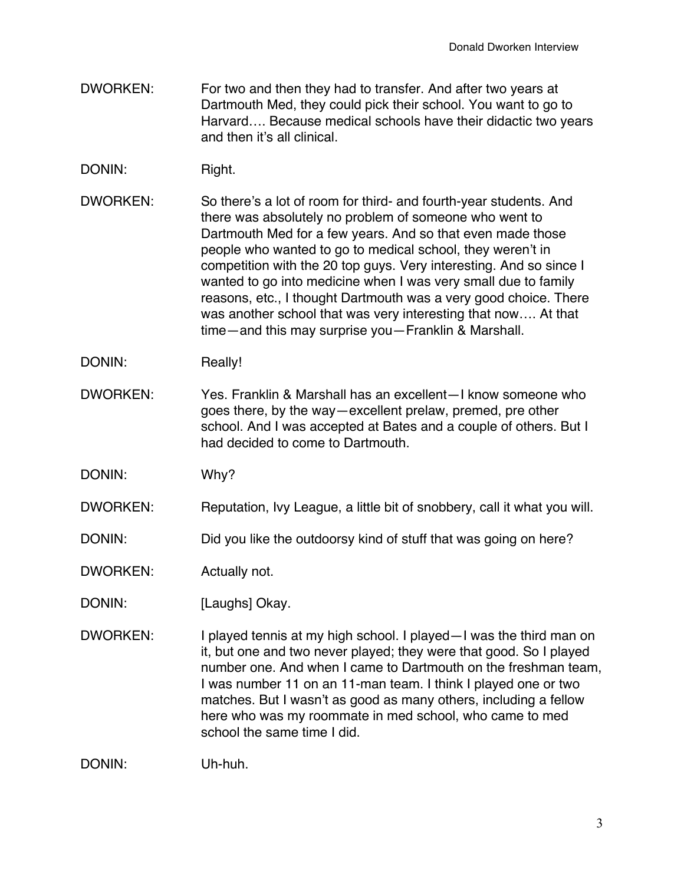- DWORKEN: For two and then they had to transfer. And after two years at Dartmouth Med, they could pick their school. You want to go to Harvard…. Because medical schools have their didactic two years and then it's all clinical.
- DONIN: Right.
- DWORKEN: So there's a lot of room for third- and fourth-year students. And there was absolutely no problem of someone who went to Dartmouth Med for a few years. And so that even made those people who wanted to go to medical school, they weren't in competition with the 20 top guys. Very interesting. And so since I wanted to go into medicine when I was very small due to family reasons, etc., I thought Dartmouth was a very good choice. There was another school that was very interesting that now…. At that time—and this may surprise you—Franklin & Marshall.
- DONIN: Really!
- DWORKEN: Yes. Franklin & Marshall has an excellent—I know someone who goes there, by the way—excellent prelaw, premed, pre other school. And I was accepted at Bates and a couple of others. But I had decided to come to Dartmouth.
- DONIN: Why?
- DWORKEN: Reputation, Ivy League, a little bit of snobbery, call it what you will.
- DONIN: Did you like the outdoorsy kind of stuff that was going on here?
- DWORKEN: Actually not.
- DONIN: [Laughs] Okay.
- DWORKEN: I played tennis at my high school. I played—I was the third man on it, but one and two never played; they were that good. So I played number one. And when I came to Dartmouth on the freshman team, I was number 11 on an 11-man team. I think I played one or two matches. But I wasn't as good as many others, including a fellow here who was my roommate in med school, who came to med school the same time I did.

DONIN: Uh-huh.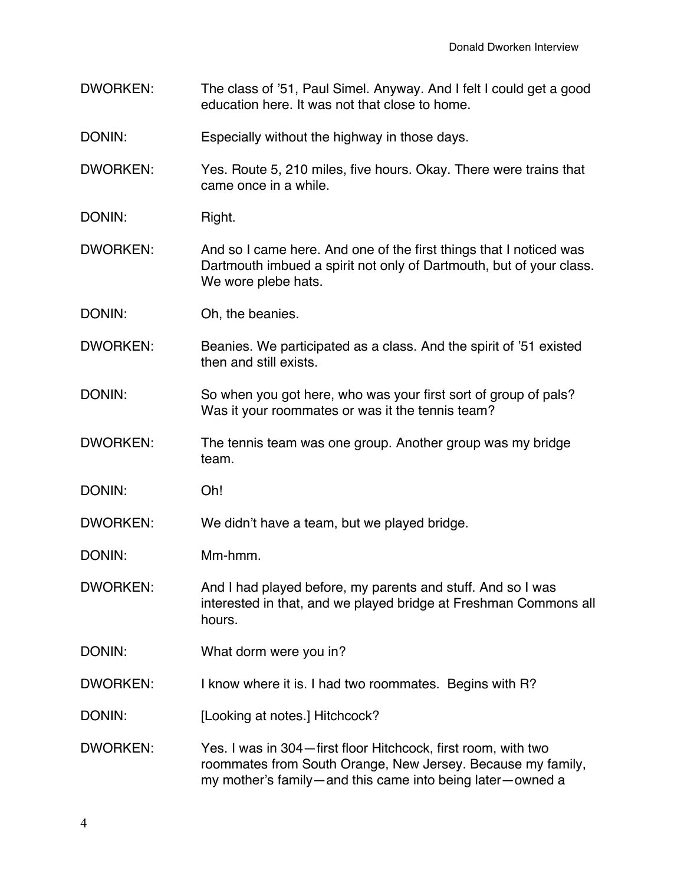- DWORKEN: The class of '51, Paul Simel. Anyway. And I felt I could get a good education here. It was not that close to home.
- DONIN: Especially without the highway in those days.

DWORKEN: Yes. Route 5, 210 miles, five hours. Okay. There were trains that came once in a while.

- DONIN: Right.
- DWORKEN: And so I came here. And one of the first things that I noticed was Dartmouth imbued a spirit not only of Dartmouth, but of your class. We wore plebe hats.
- DONIN: Oh, the beanies.
- DWORKEN: Beanies. We participated as a class. And the spirit of '51 existed then and still exists.
- DONIN: So when you got here, who was your first sort of group of pals? Was it your roommates or was it the tennis team?
- DWORKEN: The tennis team was one group. Another group was my bridge team.
- DONIN: Oh!

DWORKEN: We didn't have a team, but we played bridge.

- DWORKEN: And I had played before, my parents and stuff. And so I was interested in that, and we played bridge at Freshman Commons all hours.
- DONIN: What dorm were you in?
- DWORKEN: I know where it is. I had two roommates. Begins with R?
- DONIN: [Looking at notes.] Hitchcock?
- DWORKEN: Yes. I was in 304—first floor Hitchcock, first room, with two roommates from South Orange, New Jersey. Because my family, my mother's family—and this came into being later—owned a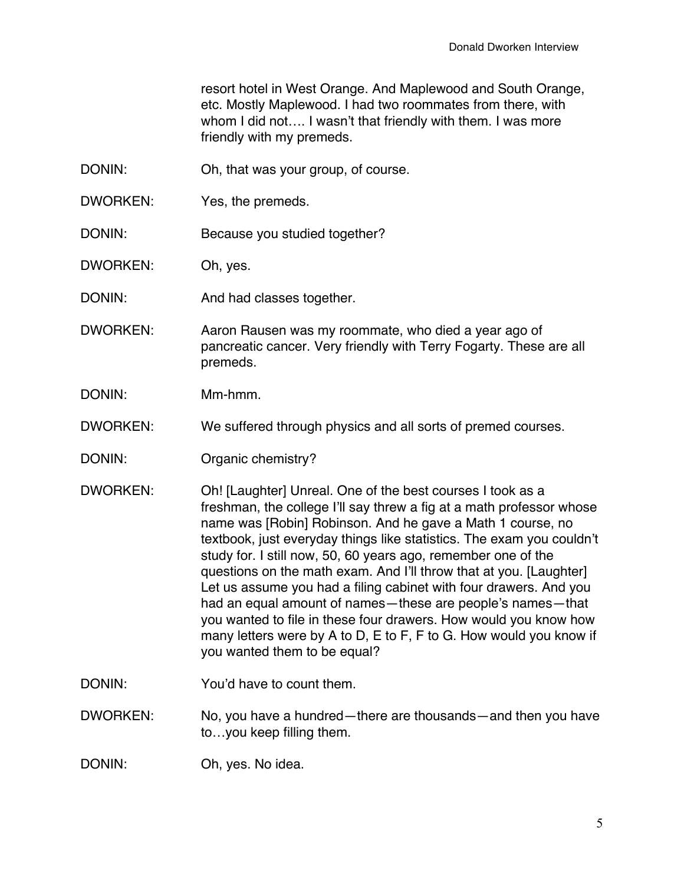resort hotel in West Orange. And Maplewood and South Orange, etc. Mostly Maplewood. I had two roommates from there, with whom I did not…. I wasn't that friendly with them. I was more friendly with my premeds.

- DONIN: Oh, that was your group, of course.
- DWORKEN: Yes, the premeds.
- DONIN: Because you studied together?
- DWORKEN: Oh, yes.
- DONIN: And had classes together.
- DWORKEN: Aaron Rausen was my roommate, who died a year ago of pancreatic cancer. Very friendly with Terry Fogarty. These are all premeds.
- DONIN: Mm-hmm.
- DWORKEN: We suffered through physics and all sorts of premed courses.
- DONIN: Organic chemistry?
- DWORKEN: Oh! [Laughter] Unreal. One of the best courses I took as a freshman, the college I'll say threw a fig at a math professor whose name was [Robin] Robinson. And he gave a Math 1 course, no textbook, just everyday things like statistics. The exam you couldn't study for. I still now, 50, 60 years ago, remember one of the questions on the math exam. And I'll throw that at you. [Laughter] Let us assume you had a filing cabinet with four drawers. And you had an equal amount of names—these are people's names—that you wanted to file in these four drawers. How would you know how many letters were by A to D, E to F, F to G. How would you know if you wanted them to be equal?
- DONIN: You'd have to count them.

DWORKEN: No, you have a hundred—there are thousands—and then you have to…you keep filling them.

DONIN: Oh, yes. No idea.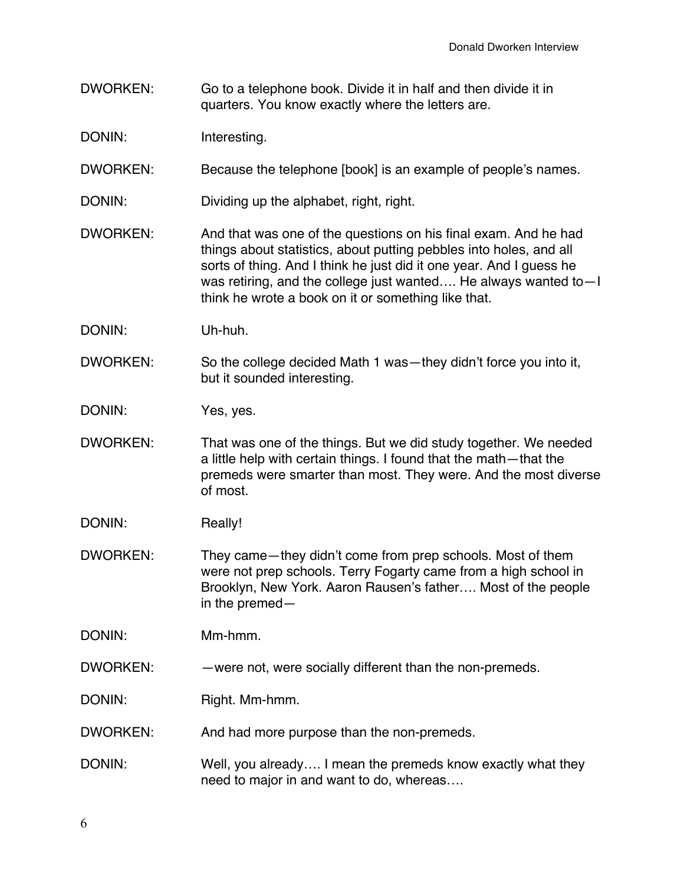- DWORKEN: Go to a telephone book. Divide it in half and then divide it in quarters. You know exactly where the letters are.
- DONIN: Interesting.
- DWORKEN: Because the telephone [book] is an example of people's names.
- DONIN: Dividing up the alphabet, right, right.
- DWORKEN: And that was one of the questions on his final exam. And he had things about statistics, about putting pebbles into holes, and all sorts of thing. And I think he just did it one year. And I guess he was retiring, and the college just wanted…. He always wanted to—I think he wrote a book on it or something like that.
- DONIN: Uh-huh.
- DWORKEN: So the college decided Math 1 was—they didn't force you into it, but it sounded interesting.
- DONIN: Yes, yes.
- DWORKEN: That was one of the things. But we did study together. We needed a little help with certain things. I found that the math—that the premeds were smarter than most. They were. And the most diverse of most.
- DONIN: Really!
- DWORKEN: They came—they didn't come from prep schools. Most of them were not prep schools. Terry Fogarty came from a high school in Brooklyn, New York. Aaron Rausen's father…. Most of the people in the premed—

- DWORKEN: —were not, were socially different than the non-premeds.
- DONIN: Right. Mm-hmm.
- DWORKEN: And had more purpose than the non-premeds.
- DONIN: Well, you already.... I mean the premeds know exactly what they need to major in and want to do, whereas….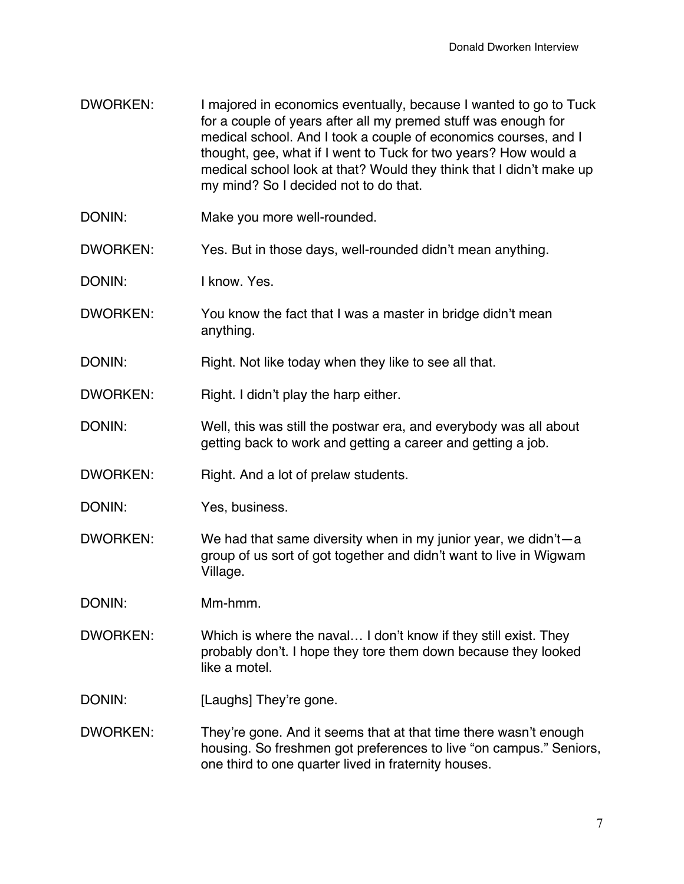- DWORKEN: I majored in economics eventually, because I wanted to go to Tuck for a couple of years after all my premed stuff was enough for medical school. And I took a couple of economics courses, and I thought, gee, what if I went to Tuck for two years? How would a medical school look at that? Would they think that I didn't make up my mind? So I decided not to do that.
- DONIN: Make you more well-rounded.
- DWORKEN: Yes. But in those days, well-rounded didn't mean anything.
- DONIN: I know. Yes.
- DWORKEN: You know the fact that I was a master in bridge didn't mean anything.
- DONIN: Right. Not like today when they like to see all that.
- DWORKEN: Right. I didn't play the harp either.
- DONIN: Well, this was still the postwar era, and everybody was all about getting back to work and getting a career and getting a job.
- DWORKEN: Right. And a lot of prelaw students.
- DONIN: Yes, business.
- DWORKEN: We had that same diversity when in my junior year, we didn't—a group of us sort of got together and didn't want to live in Wigwam Village.
- DONIN: Mm-hmm.
- DWORKEN: Which is where the naval… I don't know if they still exist. They probably don't. I hope they tore them down because they looked like a motel.
- DONIN: [Laughs] They're gone.
- DWORKEN: They're gone. And it seems that at that time there wasn't enough housing. So freshmen got preferences to live "on campus." Seniors, one third to one quarter lived in fraternity houses.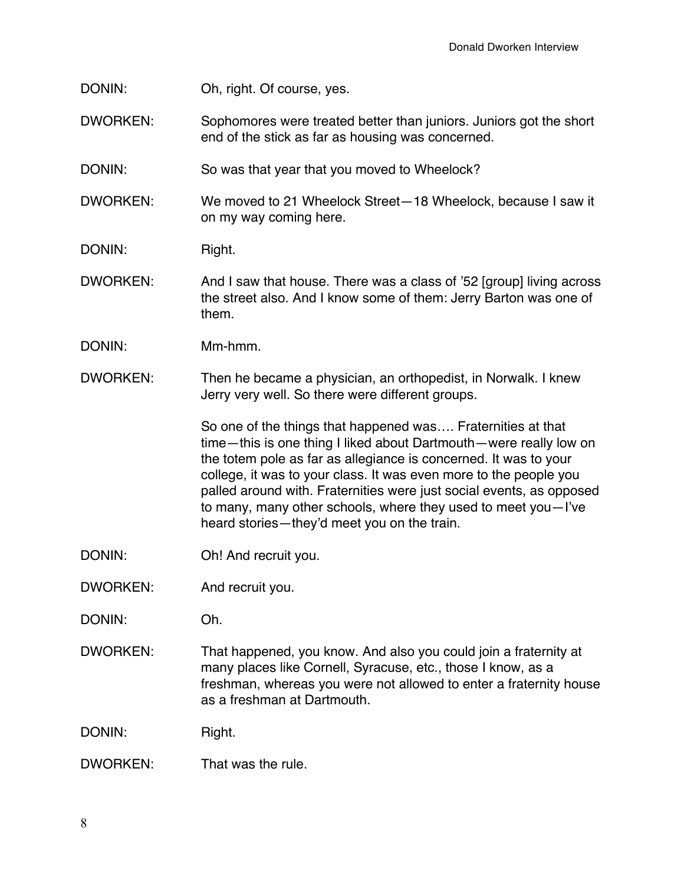- DONIN: Oh, right. Of course, yes.
- DWORKEN: Sophomores were treated better than juniors. Juniors got the short end of the stick as far as housing was concerned.
- DONIN: So was that year that you moved to Wheelock?
- DWORKEN: We moved to 21 Wheelock Street—18 Wheelock, because I saw it on my way coming here.
- DONIN: Right.
- DWORKEN: And I saw that house. There was a class of '52 [group] living across the street also. And I know some of them: Jerry Barton was one of them.
- DONIN: Mm-hmm.
- DWORKEN: Then he became a physician, an orthopedist, in Norwalk. I knew Jerry very well. So there were different groups.

So one of the things that happened was…. Fraternities at that time—this is one thing I liked about Dartmouth—were really low on the totem pole as far as allegiance is concerned. It was to your college, it was to your class. It was even more to the people you palled around with. Fraternities were just social events, as opposed to many, many other schools, where they used to meet you—I've heard stories—they'd meet you on the train.

- DONIN: Oh! And recruit you.
- DWORKEN: And recruit you.
- DONIN: Oh.
- DWORKEN: That happened, you know. And also you could join a fraternity at many places like Cornell, Syracuse, etc., those I know, as a freshman, whereas you were not allowed to enter a fraternity house as a freshman at Dartmouth.

DONIN: Right.

DWORKEN: That was the rule.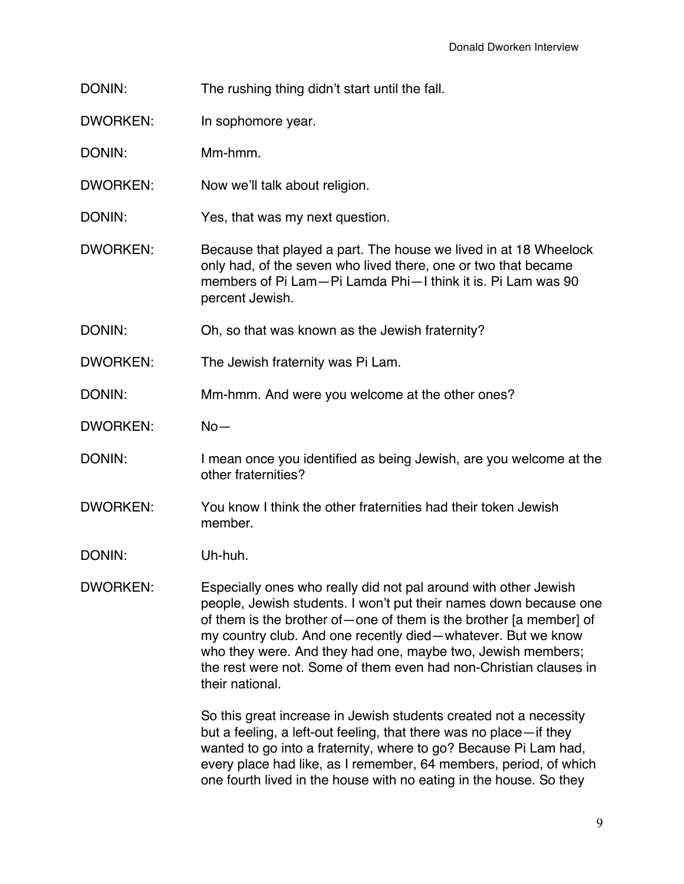- DONIN: The rushing thing didn't start until the fall.
- DWORKEN: In sophomore year.
- DONIN: Mm-hmm.
- DWORKEN: Now we'll talk about religion.
- DONIN: Yes, that was my next question.
- DWORKEN: Because that played a part. The house we lived in at 18 Wheelock only had, of the seven who lived there, one or two that became members of Pi Lam—Pi Lamda Phi—I think it is. Pi Lam was 90 percent Jewish.
- DONIN: Oh, so that was known as the Jewish fraternity?
- DWORKEN: The Jewish fraternity was Pi Lam.
- DONIN: Mm-hmm. And were you welcome at the other ones?
- DWORKEN: No—
- DONIN: I mean once you identified as being Jewish, are you welcome at the other fraternities?
- DWORKEN: You know I think the other fraternities had their token Jewish member.
- DONIN: Uh-huh.
- DWORKEN: Especially ones who really did not pal around with other Jewish people, Jewish students. I won't put their names down because one of them is the brother of—one of them is the brother [a member] of my country club. And one recently died—whatever. But we know who they were. And they had one, maybe two, Jewish members; the rest were not. Some of them even had non-Christian clauses in their national.

So this great increase in Jewish students created not a necessity but a feeling, a left-out feeling, that there was no place—if they wanted to go into a fraternity, where to go? Because Pi Lam had, every place had like, as I remember, 64 members, period, of which one fourth lived in the house with no eating in the house. So they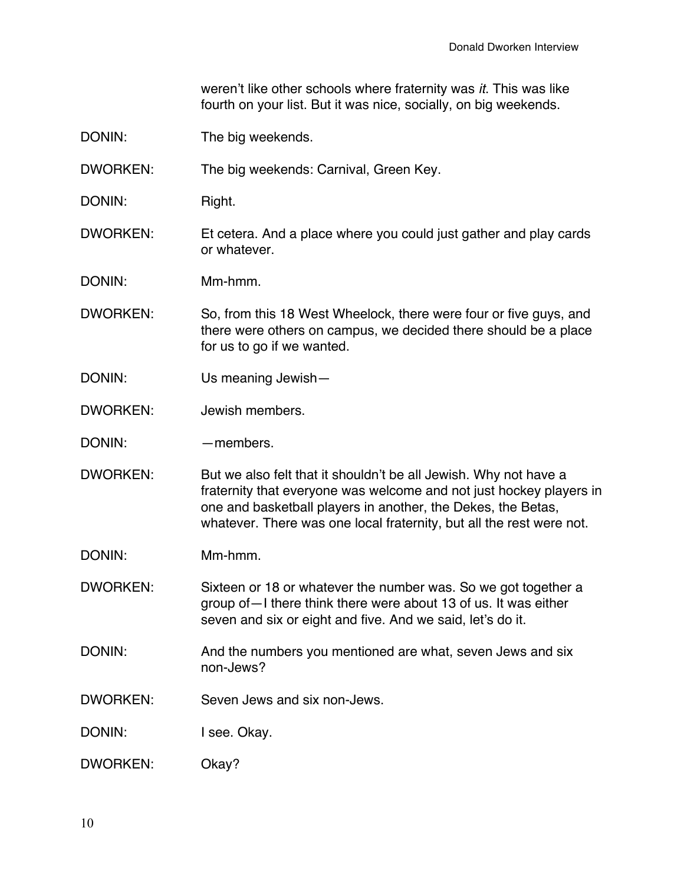weren't like other schools where fraternity was *it*. This was like fourth on your list. But it was nice, socially, on big weekends.

- DONIN: The big weekends.
- DWORKEN: The big weekends: Carnival, Green Key.
- DONIN: Right.
- DWORKEN: Et cetera. And a place where you could just gather and play cards or whatever.
- DONIN: Mm-hmm.
- DWORKEN: So, from this 18 West Wheelock, there were four or five guys, and there were others on campus, we decided there should be a place for us to go if we wanted.
- DONIN: Us meaning Jewish—
- DWORKEN: Jewish members.
- DONIN: — — members.
- DWORKEN: But we also felt that it shouldn't be all Jewish. Why not have a fraternity that everyone was welcome and not just hockey players in one and basketball players in another, the Dekes, the Betas, whatever. There was one local fraternity, but all the rest were not.
- DONIN: Mm-hmm.
- DWORKEN: Sixteen or 18 or whatever the number was. So we got together a group of—I there think there were about 13 of us. It was either seven and six or eight and five. And we said, let's do it.
- DONIN: And the numbers you mentioned are what, seven Jews and six non-Jews?
- DWORKEN: Seven Jews and six non-Jews.
- DONIN: I see. Okay.
- DWORKEN: Okay?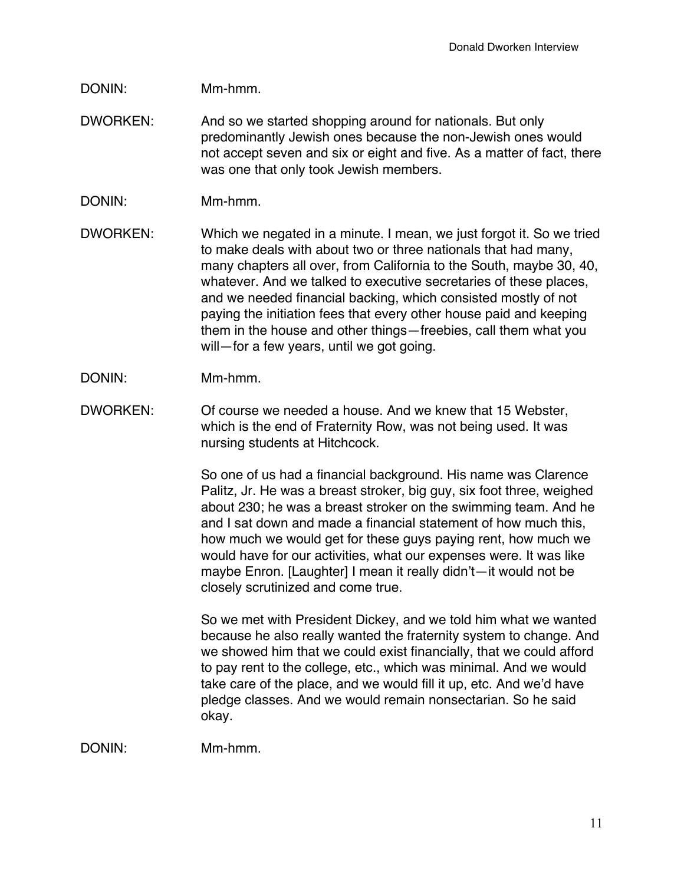## DONIN: Mm-hmm.

- DWORKEN: And so we started shopping around for nationals. But only predominantly Jewish ones because the non-Jewish ones would not accept seven and six or eight and five. As a matter of fact, there was one that only took Jewish members.
- DONIN: Mm-hmm.
- DWORKEN: Which we negated in a minute. I mean, we just forgot it. So we tried to make deals with about two or three nationals that had many, many chapters all over, from California to the South, maybe 30, 40, whatever. And we talked to executive secretaries of these places, and we needed financial backing, which consisted mostly of not paying the initiation fees that every other house paid and keeping them in the house and other things—freebies, call them what you will—for a few years, until we got going.
- DONIN: Mm-hmm.
- DWORKEN: Of course we needed a house. And we knew that 15 Webster, which is the end of Fraternity Row, was not being used. It was nursing students at Hitchcock.

So one of us had a financial background. His name was Clarence Palitz, Jr. He was a breast stroker, big guy, six foot three, weighed about 230; he was a breast stroker on the swimming team. And he and I sat down and made a financial statement of how much this, how much we would get for these guys paying rent, how much we would have for our activities, what our expenses were. It was like maybe Enron. [Laughter] I mean it really didn't—it would not be closely scrutinized and come true.

So we met with President Dickey, and we told him what we wanted because he also really wanted the fraternity system to change. And we showed him that we could exist financially, that we could afford to pay rent to the college, etc., which was minimal. And we would take care of the place, and we would fill it up, etc. And we'd have pledge classes. And we would remain nonsectarian. So he said okay.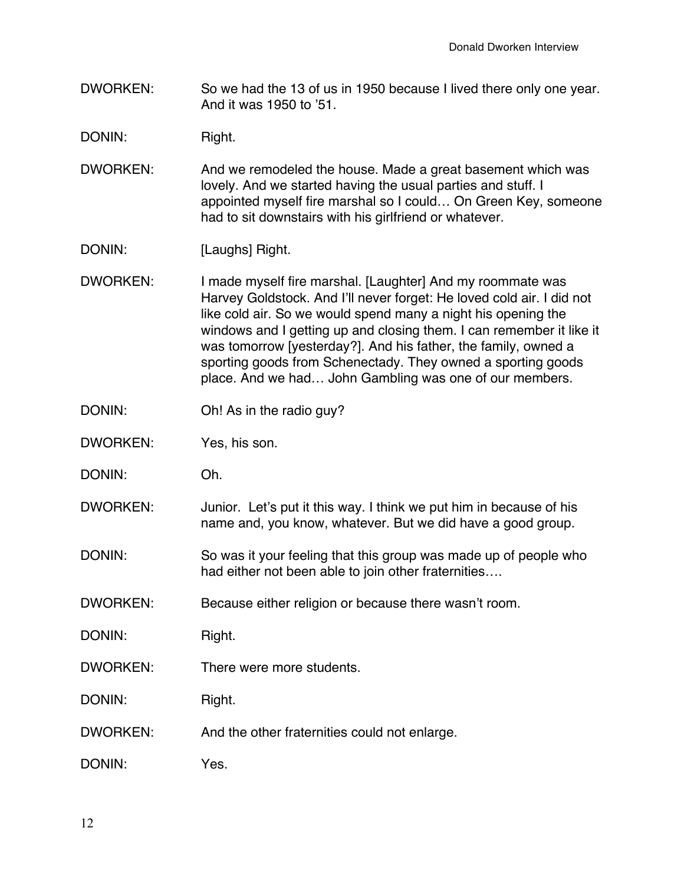DWORKEN: So we had the 13 of us in 1950 because I lived there only one year. And it was 1950 to '51.

DONIN: Right.

- DWORKEN: And we remodeled the house. Made a great basement which was lovely. And we started having the usual parties and stuff. I appointed myself fire marshal so I could… On Green Key, someone had to sit downstairs with his girlfriend or whatever.
- DONIN: [Laughs] Right.
- DWORKEN: I made myself fire marshal. [Laughter] And my roommate was Harvey Goldstock. And I'll never forget: He loved cold air. I did not like cold air. So we would spend many a night his opening the windows and I getting up and closing them. I can remember it like it was tomorrow [yesterday?]. And his father, the family, owned a sporting goods from Schenectady. They owned a sporting goods place. And we had… John Gambling was one of our members.
- DONIN: Oh! As in the radio guy?
- DWORKEN: Yes, his son.
- DONIN: Oh.
- DWORKEN: Junior. Let's put it this way. I think we put him in because of his name and, you know, whatever. But we did have a good group.
- DONIN: So was it your feeling that this group was made up of people who had either not been able to join other fraternities….
- DWORKEN: Because either religion or because there wasn't room.

DONIN: Right.

DWORKEN: There were more students.

DONIN: Right.

- DWORKEN: And the other fraternities could not enlarge.
- DONIN: Yes.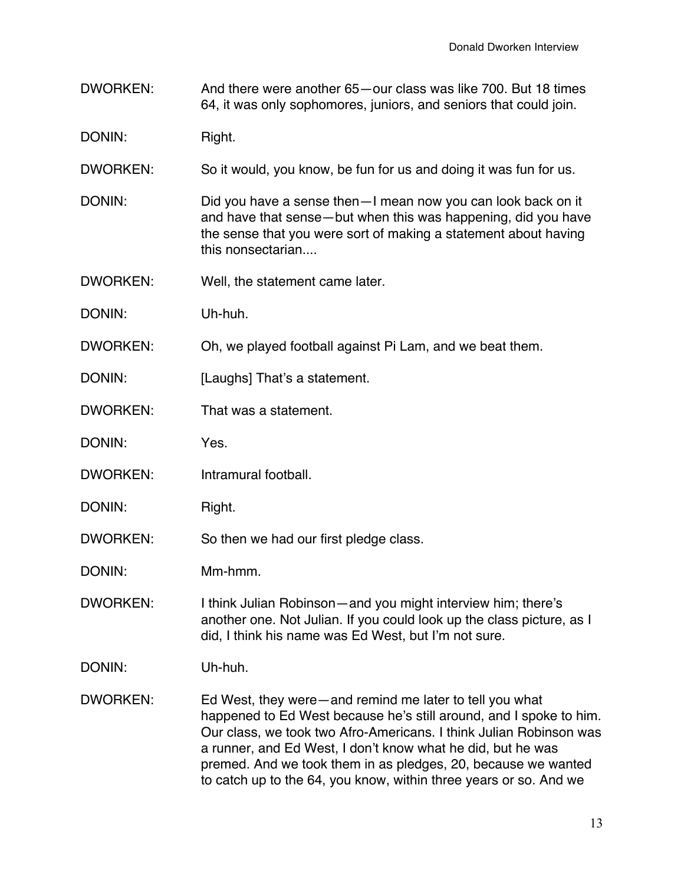DWORKEN: And there were another 65—our class was like 700. But 18 times 64, it was only sophomores, juniors, and seniors that could join.

DONIN: Right.

- DWORKEN: So it would, you know, be fun for us and doing it was fun for us.
- DONIN: DONIN: Did you have a sense then—I mean now you can look back on it and have that sense—but when this was happening, did you have the sense that you were sort of making a statement about having this nonsectarian....
- DWORKEN: Well, the statement came later.
- DONIN: Uh-huh.
- DWORKEN: Oh, we played football against Pi Lam, and we beat them.
- DONIN: [Laughs] That's a statement.
- DWORKEN: That was a statement.
- DONIN: Yes.
- DWORKEN: Intramural football.
- DONIN: Right.
- DWORKEN: So then we had our first pledge class.
- DONIN: Mm-hmm.
- DWORKEN: I think Julian Robinson—and you might interview him; there's another one. Not Julian. If you could look up the class picture, as I did, I think his name was Ed West, but I'm not sure.
- DONIN: Uh-huh.
- DWORKEN: Ed West, they were—and remind me later to tell you what happened to Ed West because he's still around, and I spoke to him. Our class, we took two Afro-Americans. I think Julian Robinson was a runner, and Ed West, I don't know what he did, but he was premed. And we took them in as pledges, 20, because we wanted to catch up to the 64, you know, within three years or so. And we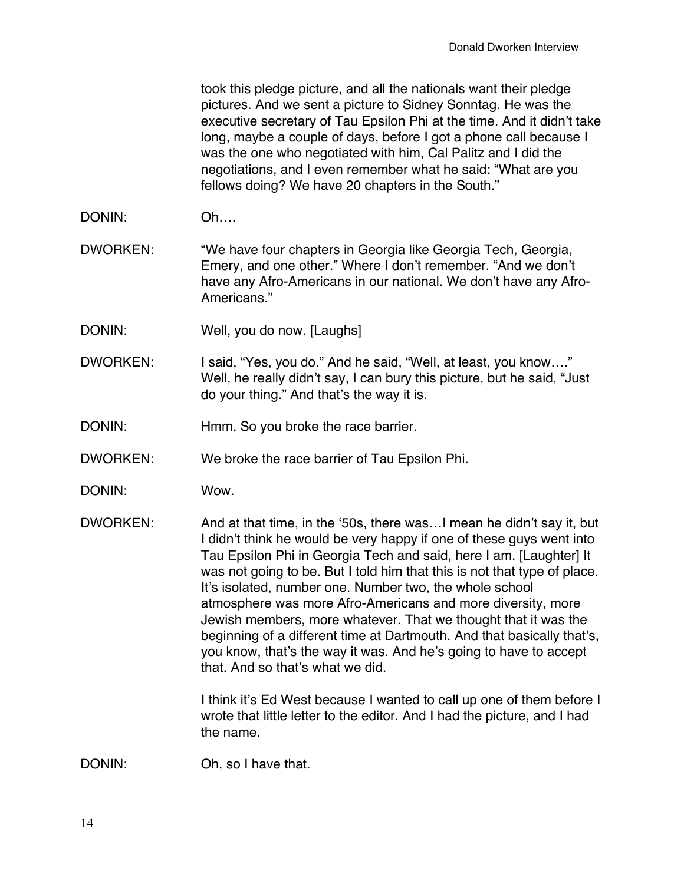took this pledge picture, and all the nationals want their pledge pictures. And we sent a picture to Sidney Sonntag. He was the executive secretary of Tau Epsilon Phi at the time. And it didn't take long, maybe a couple of days, before I got a phone call because I was the one who negotiated with him, Cal Palitz and I did the negotiations, and I even remember what he said: "What are you fellows doing? We have 20 chapters in the South."

DONIN: Oh….

DWORKEN: "We have four chapters in Georgia like Georgia Tech, Georgia, Emery, and one other." Where I don't remember. "And we don't have any Afro-Americans in our national. We don't have any Afro-Americans."

- DONIN: Well, you do now. [Laughs]
- DWORKEN: I said, "Yes, you do." And he said, "Well, at least, you know…." Well, he really didn't say, I can bury this picture, but he said, "Just do your thing." And that's the way it is.
- DONIN: Hmm. So you broke the race barrier.
- DWORKEN: We broke the race barrier of Tau Epsilon Phi.
- DONIN: Wow.
- DWORKEN: And at that time, in the '50s, there was…I mean he didn't say it, but I didn't think he would be very happy if one of these guys went into Tau Epsilon Phi in Georgia Tech and said, here I am. [Laughter] It was not going to be. But I told him that this is not that type of place. It's isolated, number one. Number two, the whole school atmosphere was more Afro-Americans and more diversity, more Jewish members, more whatever. That we thought that it was the beginning of a different time at Dartmouth. And that basically that's, you know, that's the way it was. And he's going to have to accept that. And so that's what we did.

I think it's Ed West because I wanted to call up one of them before I wrote that little letter to the editor. And I had the picture, and I had the name.

DONIN: Oh, so I have that.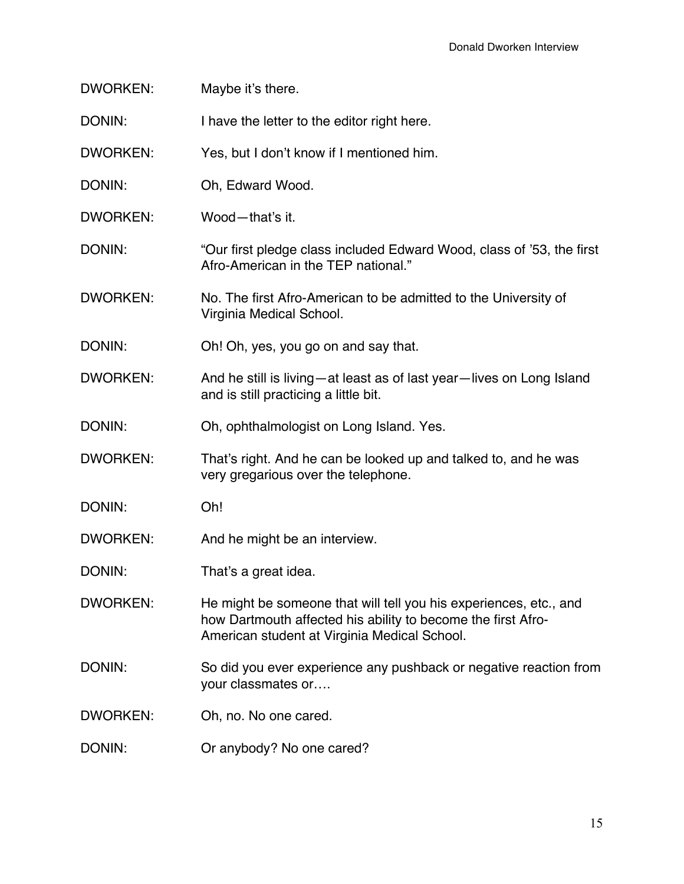DWORKEN: Maybe it's there.

DONIN: I have the letter to the editor right here.

DWORKEN: Yes, but I don't know if I mentioned him.

DONIN: Oh, Edward Wood.

DWORKEN: Wood—that's it.

DONIN: "Our first pledge class included Edward Wood, class of '53, the first Afro-American in the TEP national."

DWORKEN: No. The first Afro-American to be admitted to the University of Virginia Medical School.

DONIN: Oh! Oh, yes, you go on and say that.

DWORKEN: And he still is living—at least as of last year—lives on Long Island and is still practicing a little bit.

DONIN: Oh, ophthalmologist on Long Island. Yes.

DWORKEN: That's right. And he can be looked up and talked to, and he was very gregarious over the telephone.

DONIN: Oh!

DWORKEN: And he might be an interview.

DONIN: That's a great idea.

DWORKEN: He might be someone that will tell you his experiences, etc., and how Dartmouth affected his ability to become the first Afro-American student at Virginia Medical School.

DONIN: So did you ever experience any pushback or negative reaction from your classmates or….

DWORKEN: Oh, no. No one cared.

DONIN: Or anybody? No one cared?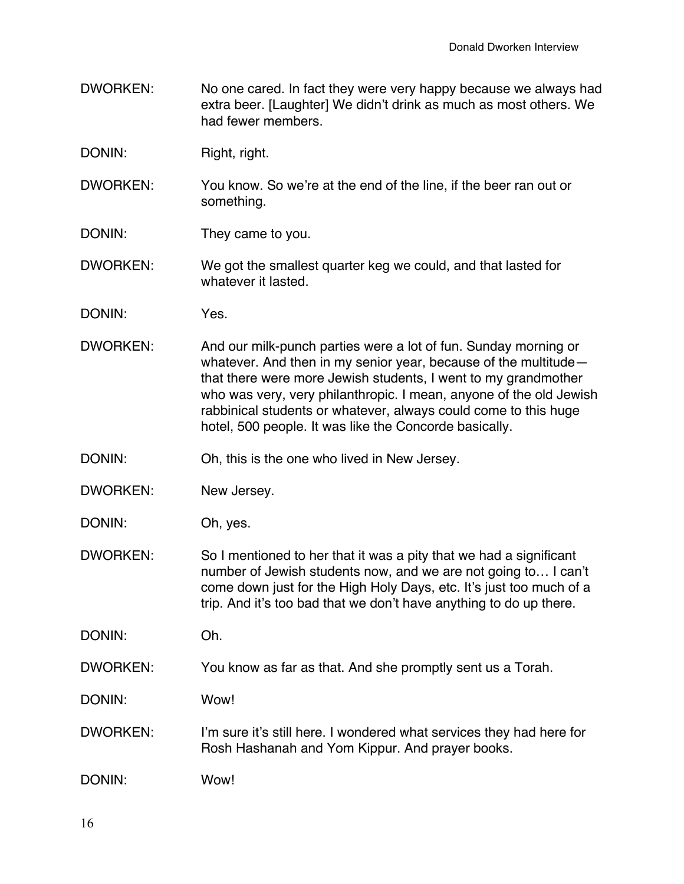- DWORKEN: No one cared. In fact they were very happy because we always had extra beer. [Laughter] We didn't drink as much as most others. We had fewer members.
- DONIN: Right, right.
- DWORKEN: You know. So we're at the end of the line, if the beer ran out or something.
- DONIN: They came to you.
- DWORKEN: We got the smallest quarter keg we could, and that lasted for whatever it lasted.
- DONIN: Yes.
- DWORKEN: And our milk-punch parties were a lot of fun. Sunday morning or whatever. And then in my senior year, because of the multitude that there were more Jewish students, I went to my grandmother who was very, very philanthropic. I mean, anyone of the old Jewish rabbinical students or whatever, always could come to this huge hotel, 500 people. It was like the Concorde basically.

DONIN: Oh, this is the one who lived in New Jersey.

- DWORKEN: New Jersey.
- DONIN: Oh, yes.
- DWORKEN: So I mentioned to her that it was a pity that we had a significant number of Jewish students now, and we are not going to… I can't come down just for the High Holy Days, etc. It's just too much of a trip. And it's too bad that we don't have anything to do up there.

DONIN: Oh.

- DWORKEN: You know as far as that. And she promptly sent us a Torah.
- DONIN: Wow!
- DWORKEN: I'm sure it's still here. I wondered what services they had here for Rosh Hashanah and Yom Kippur. And prayer books.

DONIN: Wow!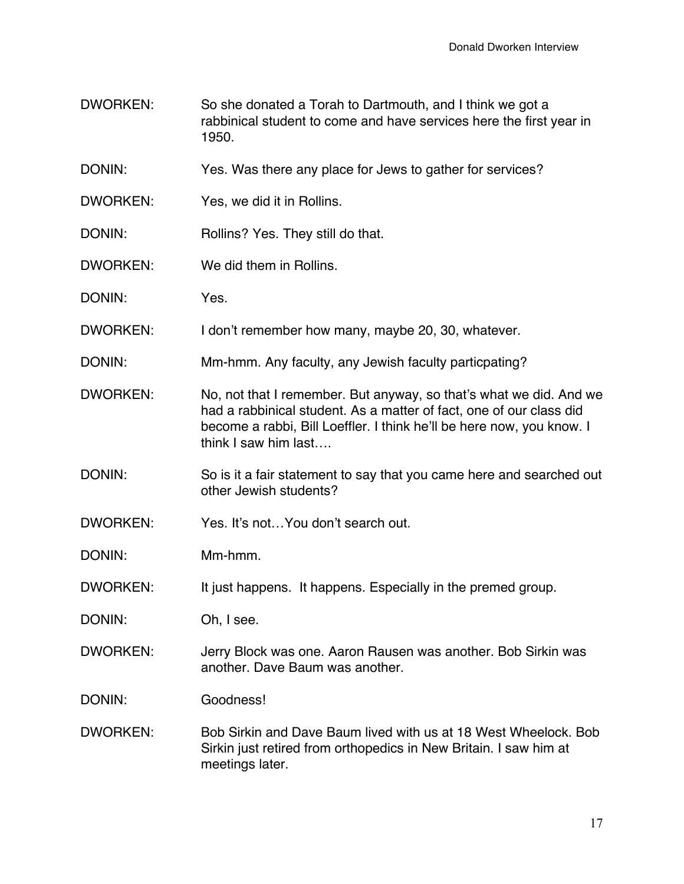- DWORKEN: So she donated a Torah to Dartmouth, and I think we got a rabbinical student to come and have services here the first year in 1950.
- DONIN: Yes. Was there any place for Jews to gather for services?
- DWORKEN: Yes, we did it in Rollins.
- DONIN: Rollins? Yes. They still do that.
- DWORKEN: We did them in Rollins.
- DONIN: Yes.
- DWORKEN: I don't remember how many, maybe 20, 30, whatever.
- DONIN: Mm-hmm. Any faculty, any Jewish faculty particpating?
- DWORKEN: No, not that I remember. But anyway, so that's what we did. And we had a rabbinical student. As a matter of fact, one of our class did become a rabbi, Bill Loeffler. I think he'll be here now, you know. I think I saw him last….
- DONIN: So is it a fair statement to say that you came here and searched out other Jewish students?
- DWORKEN: Yes. It's not…You don't search out.
- DONIN: Mm-hmm.
- DWORKEN: It just happens. It happens. Especially in the premed group.
- DONIN: Oh, I see.
- DWORKEN: Jerry Block was one. Aaron Rausen was another. Bob Sirkin was another. Dave Baum was another.
- DONIN: Goodness!
- DWORKEN: Bob Sirkin and Dave Baum lived with us at 18 West Wheelock. Bob Sirkin just retired from orthopedics in New Britain. I saw him at meetings later.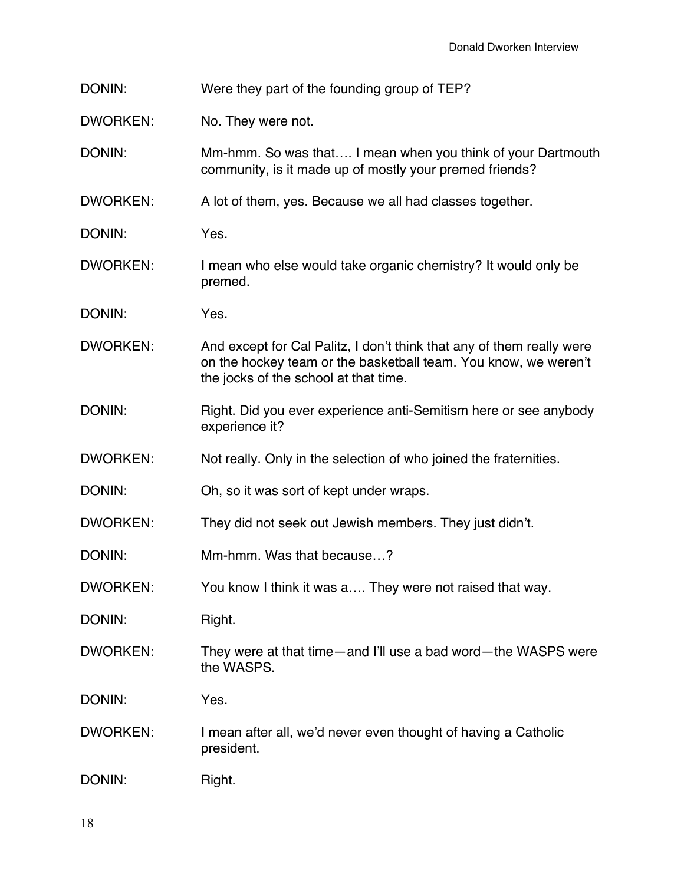| DONIN: |  | Were they part of the founding group of TEP? |
|--------|--|----------------------------------------------|
|--------|--|----------------------------------------------|

DWORKEN: No. They were not.

DONIN: Mm-hmm. So was that…. I mean when you think of your Dartmouth community, is it made up of mostly your premed friends?

DWORKEN: A lot of them, yes. Because we all had classes together.

DONIN: Yes.

- DWORKEN: I mean who else would take organic chemistry? It would only be premed.
- DONIN: Yes.
- DWORKEN: And except for Cal Palitz, I don't think that any of them really were on the hockey team or the basketball team. You know, we weren't the jocks of the school at that time.
- DONIN: Right. Did you ever experience anti-Semitism here or see anybody experience it?
- DWORKEN: Not really. Only in the selection of who joined the fraternities.
- DONIN: Oh, so it was sort of kept under wraps.
- DWORKEN: They did not seek out Jewish members. They just didn't.
- DONIN: Mm-hmm. Was that because...?
- DWORKEN: You know I think it was a.... They were not raised that way.

DONIN: Right.

DWORKEN: They were at that time—and I'll use a bad word—the WASPS were the WASPS.

DONIN: Yes.

DWORKEN: I mean after all, we'd never even thought of having a Catholic president.

DONIN: Right.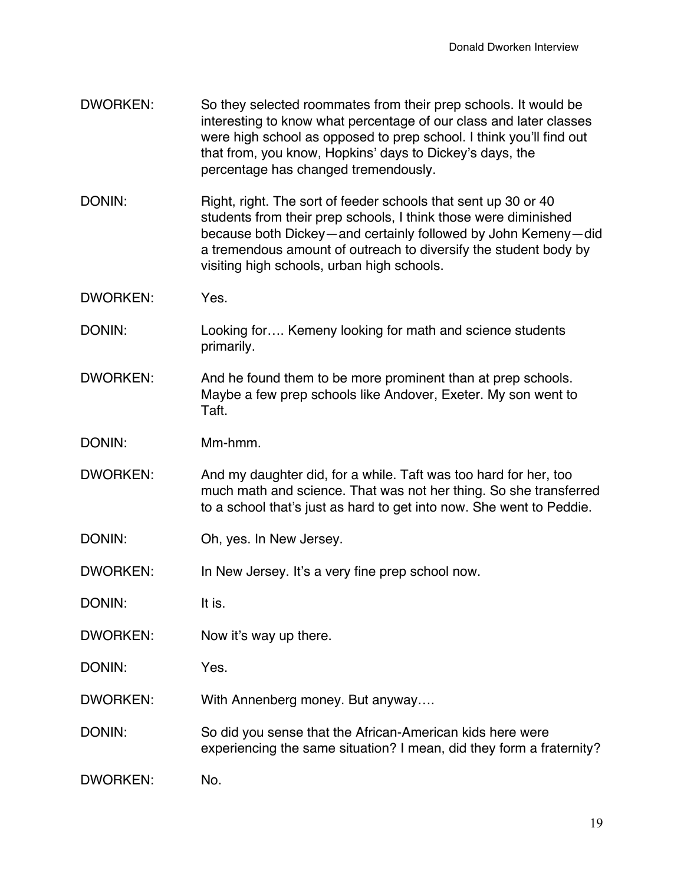- DWORKEN: So they selected roommates from their prep schools. It would be interesting to know what percentage of our class and later classes were high school as opposed to prep school. I think you'll find out that from, you know, Hopkins' days to Dickey's days, the percentage has changed tremendously.
- DONIN: Right, right. The sort of feeder schools that sent up 30 or 40 students from their prep schools, I think those were diminished because both Dickey—and certainly followed by John Kemeny—did a tremendous amount of outreach to diversify the student body by visiting high schools, urban high schools.
- DWORKEN: Yes.
- DONIN: Looking for.... Kemeny looking for math and science students primarily.
- DWORKEN: And he found them to be more prominent than at prep schools. Maybe a few prep schools like Andover, Exeter. My son went to Taft.
- DONIN: Mm-hmm.
- DWORKEN: And my daughter did, for a while. Taft was too hard for her, too much math and science. That was not her thing. So she transferred to a school that's just as hard to get into now. She went to Peddie.
- DONIN: Oh, yes. In New Jersey.

DWORKEN: In New Jersey. It's a very fine prep school now.

- DONIN: It is.
- DWORKEN: Now it's way up there.
- DONIN: Yes.
- DWORKEN: With Annenberg money. But anyway....
- DONIN: So did you sense that the African-American kids here were experiencing the same situation? I mean, did they form a fraternity?
- DWORKEN: No.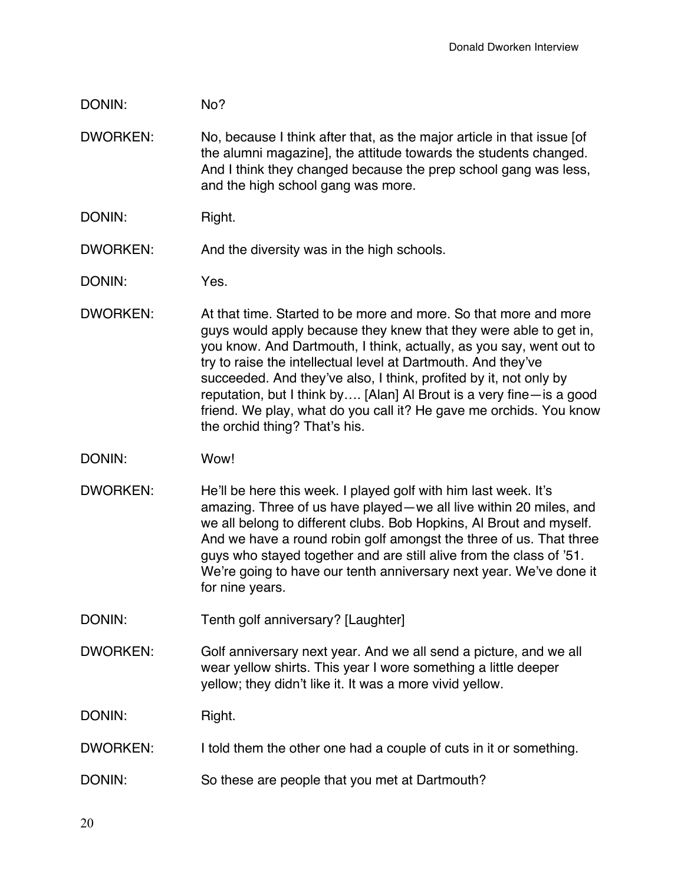## DONIN: No?

- DWORKEN: No, because I think after that, as the major article in that issue [of the alumni magazine], the attitude towards the students changed. And I think they changed because the prep school gang was less, and the high school gang was more.
- DONIN: Right.
- DWORKEN: And the diversity was in the high schools.
- DONIN: Yes.
- DWORKEN: At that time. Started to be more and more. So that more and more guys would apply because they knew that they were able to get in, you know. And Dartmouth, I think, actually, as you say, went out to try to raise the intellectual level at Dartmouth. And they've succeeded. And they've also, I think, profited by it, not only by reputation, but I think by…. [Alan] Al Brout is a very fine—is a good friend. We play, what do you call it? He gave me orchids. You know the orchid thing? That's his.
- DONIN: Wow!
- DWORKEN: He'll be here this week. I played golf with him last week. It's amazing. Three of us have played—we all live within 20 miles, and we all belong to different clubs. Bob Hopkins, Al Brout and myself. And we have a round robin golf amongst the three of us. That three guys who stayed together and are still alive from the class of '51. We're going to have our tenth anniversary next year. We've done it for nine years.
- DONIN: Tenth golf anniversary? [Laughter]
- DWORKEN: Golf anniversary next year. And we all send a picture, and we all wear yellow shirts. This year I wore something a little deeper yellow; they didn't like it. It was a more vivid yellow.

DONIN: Right.

- DWORKEN: I told them the other one had a couple of cuts in it or something.
- DONIN: So these are people that you met at Dartmouth?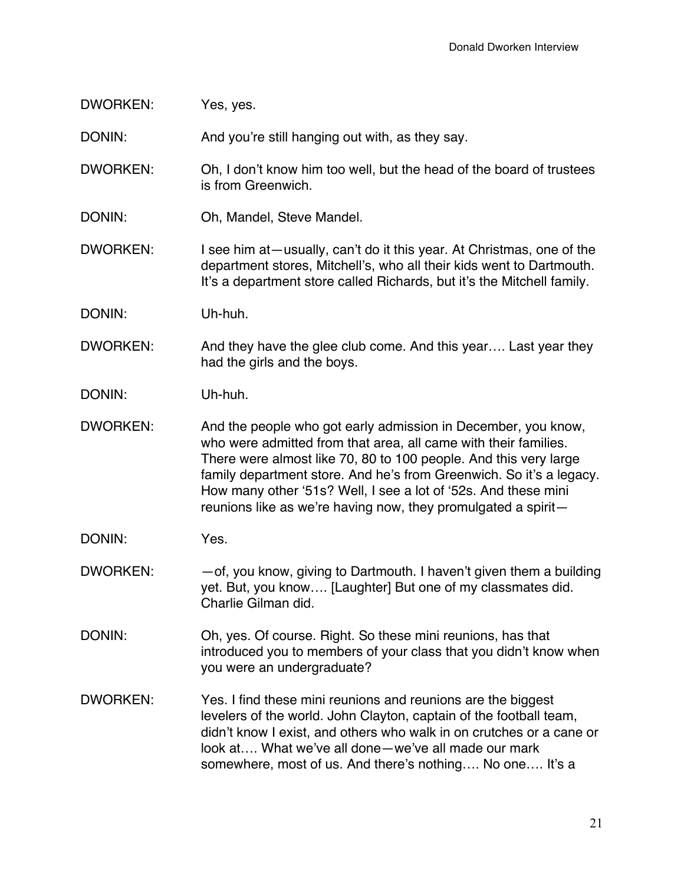## DWORKEN: Yes, yes.

DONIN: And you're still hanging out with, as they say.

- DWORKEN: Oh, I don't know him too well, but the head of the board of trustees is from Greenwich.
- DONIN: Oh, Mandel, Steve Mandel.
- DWORKEN: I see him at—usually, can't do it this year. At Christmas, one of the department stores, Mitchell's, who all their kids went to Dartmouth. It's a department store called Richards, but it's the Mitchell family.

DONIN: Uh-huh.

- DWORKEN: And they have the glee club come. And this year.... Last year they had the girls and the boys.
- DONIN: Uh-huh.
- DWORKEN: And the people who got early admission in December, you know, who were admitted from that area, all came with their families. There were almost like 70, 80 to 100 people. And this very large family department store. And he's from Greenwich. So it's a legacy. How many other '51s? Well, I see a lot of '52s. And these mini reunions like as we're having now, they promulgated a spirit—
- DONIN: Yes.
- DWORKEN:  $-$  of, you know, giving to Dartmouth. I haven't given them a building yet. But, you know…. [Laughter] But one of my classmates did. Charlie Gilman did.
- DONIN: Oh, yes. Of course. Right. So these mini reunions, has that introduced you to members of your class that you didn't know when you were an undergraduate?
- DWORKEN: Yes. I find these mini reunions and reunions are the biggest levelers of the world. John Clayton, captain of the football team, didn't know I exist, and others who walk in on crutches or a cane or look at…. What we've all done—we've all made our mark somewhere, most of us. And there's nothing…. No one…. It's a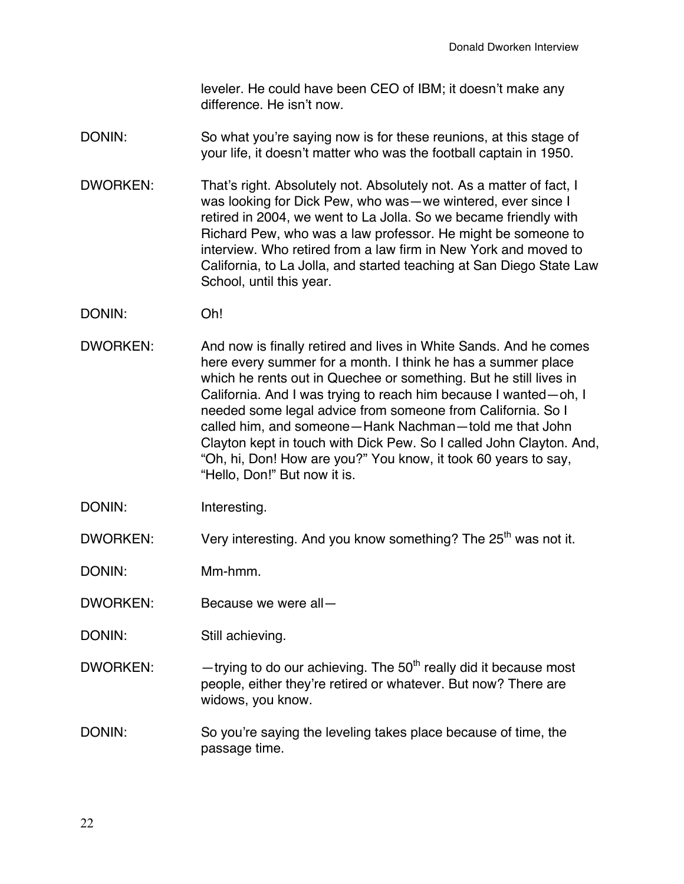leveler. He could have been CEO of IBM; it doesn't make any difference. He isn't now.

- DONIN: So what you're saying now is for these reunions, at this stage of your life, it doesn't matter who was the football captain in 1950.
- DWORKEN: That's right. Absolutely not. Absolutely not. As a matter of fact, I was looking for Dick Pew, who was—we wintered, ever since I retired in 2004, we went to La Jolla. So we became friendly with Richard Pew, who was a law professor. He might be someone to interview. Who retired from a law firm in New York and moved to California, to La Jolla, and started teaching at San Diego State Law School, until this year.
- DONIN: Oh!
- DWORKEN: And now is finally retired and lives in White Sands. And he comes here every summer for a month. I think he has a summer place which he rents out in Quechee or something. But he still lives in California. And I was trying to reach him because I wanted—oh, I needed some legal advice from someone from California. So I called him, and someone—Hank Nachman—told me that John Clayton kept in touch with Dick Pew. So I called John Clayton. And, "Oh, hi, Don! How are you?" You know, it took 60 years to say, "Hello, Don!" But now it is.
- DONIN: Interesting.
- DWORKEN: Very interesting. And you know something? The 25<sup>th</sup> was not it.

- DWORKEN: Because we were all—
- DONIN: Still achieving.
- DWORKEN:  $-$  trying to do our achieving. The 50<sup>th</sup> really did it because most people, either they're retired or whatever. But now? There are widows, you know.
- DONIN: So you're saying the leveling takes place because of time, the passage time.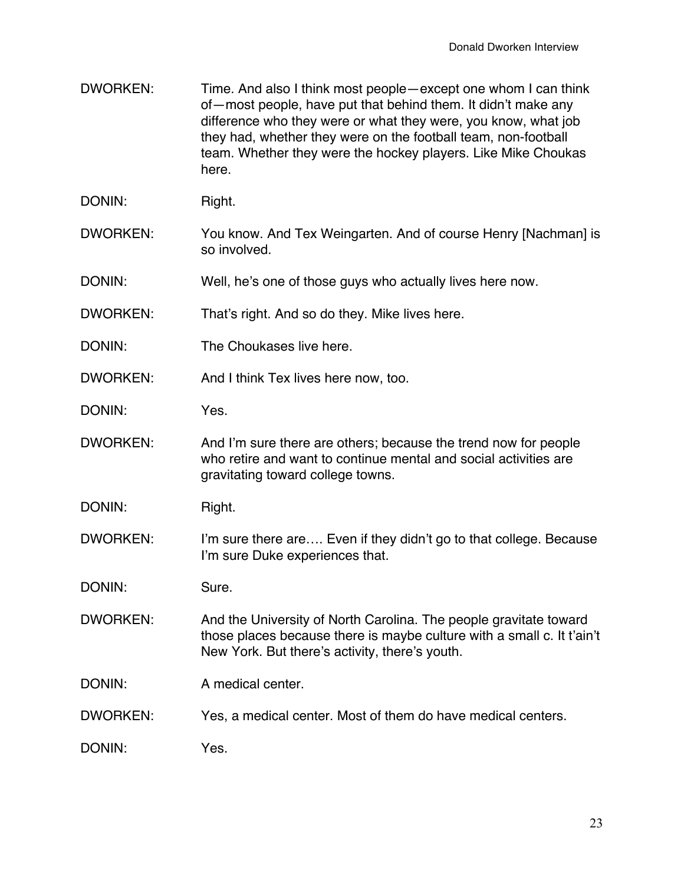- DWORKEN: Time. And also I think most people—except one whom I can think of—most people, have put that behind them. It didn't make any difference who they were or what they were, you know, what job they had, whether they were on the football team, non-football team. Whether they were the hockey players. Like Mike Choukas here.
- DONIN: Right.
- DWORKEN: You know. And Tex Weingarten. And of course Henry [Nachman] is so involved.
- DONIN: Well, he's one of those guys who actually lives here now.
- DWORKEN: That's right. And so do they. Mike lives here.
- DONIN: The Choukases live here.
- DWORKEN: And I think Tex lives here now, too.
- DONIN: Yes.
- DWORKEN: And I'm sure there are others; because the trend now for people who retire and want to continue mental and social activities are gravitating toward college towns.
- DONIN: Right.
- DWORKEN: I'm sure there are.... Even if they didn't go to that college. Because I'm sure Duke experiences that.

DONIN: Sure.

- DWORKEN: And the University of North Carolina. The people gravitate toward those places because there is maybe culture with a small c. It t'ain't New York. But there's activity, there's youth.
- DONIN: A medical center
- DWORKEN: Yes, a medical center. Most of them do have medical centers.
- DONIN: Yes.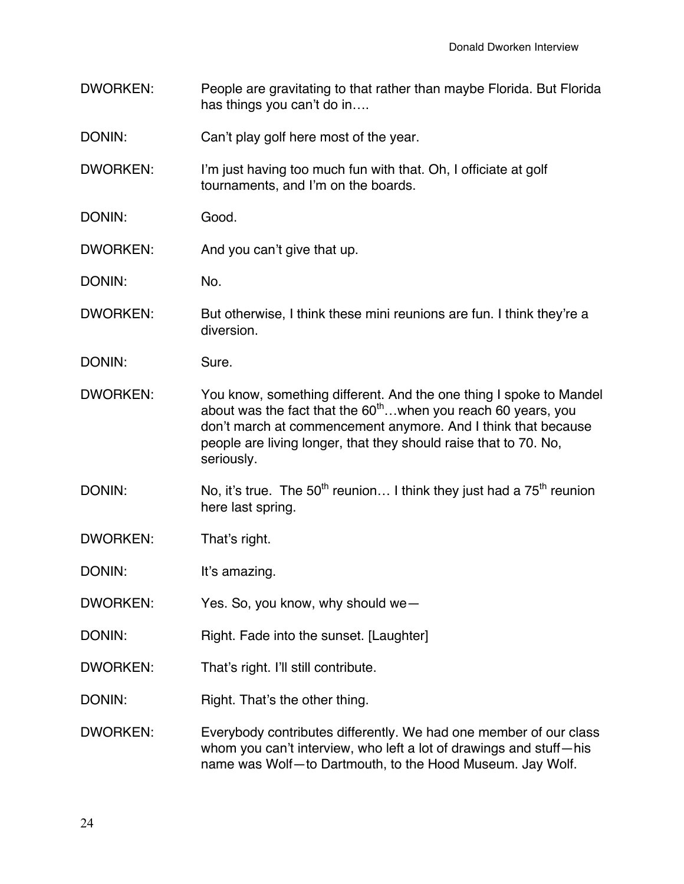- DWORKEN: People are gravitating to that rather than maybe Florida. But Florida has things you can't do in….
- DONIN: Can't play golf here most of the year.
- DWORKEN: I'm just having too much fun with that. Oh, I officiate at golf tournaments, and I'm on the boards.
- DONIN: Good.
- DWORKEN: And you can't give that up.
- DONIN: No.
- DWORKEN: But otherwise, I think these mini reunions are fun. I think they're a diversion.
- DONIN: Sure.
- DWORKEN: You know, something different. And the one thing I spoke to Mandel about was the fact that the  $60<sup>th</sup>$ ... when you reach 60 years, you don't march at commencement anymore. And I think that because people are living longer, that they should raise that to 70. No, seriously.
- DONIN: No, it's true. The  $50<sup>th</sup>$  reunion... I think they just had a  $75<sup>th</sup>$  reunion here last spring.
- DWORKEN: That's right.

DONIN: It's amazing.

- DWORKEN: Yes. So, you know, why should we—
- DONIN: Right. Fade into the sunset. [Laughter]
- DWORKEN: That's right. I'll still contribute.
- DONIN: Right. That's the other thing.
- DWORKEN: Everybody contributes differently. We had one member of our class whom you can't interview, who left a lot of drawings and stuff—his name was Wolf—to Dartmouth, to the Hood Museum. Jay Wolf.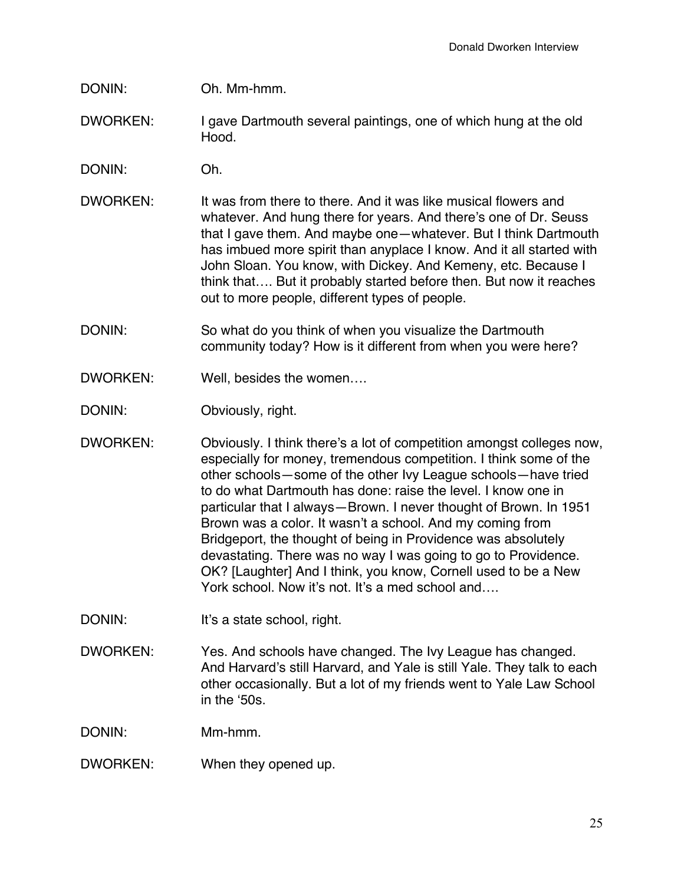# DONIN: Oh. Mm-hmm.

- DWORKEN: I gave Dartmouth several paintings, one of which hung at the old Hood.
- DONIN: Oh.
- DWORKEN: It was from there to there. And it was like musical flowers and whatever. And hung there for years. And there's one of Dr. Seuss that I gave them. And maybe one—whatever. But I think Dartmouth has imbued more spirit than anyplace I know. And it all started with John Sloan. You know, with Dickey. And Kemeny, etc. Because I think that…. But it probably started before then. But now it reaches out to more people, different types of people.
- DONIN: So what do you think of when you visualize the Dartmouth community today? How is it different from when you were here?
- DWORKEN: Well, besides the women….
- DONIN: Obviously, right.
- DWORKEN: Obviously. I think there's a lot of competition amongst colleges now, especially for money, tremendous competition. I think some of the other schools—some of the other Ivy League schools—have tried to do what Dartmouth has done: raise the level. I know one in particular that I always—Brown. I never thought of Brown. In 1951 Brown was a color. It wasn't a school. And my coming from Bridgeport, the thought of being in Providence was absolutely devastating. There was no way I was going to go to Providence. OK? [Laughter] And I think, you know, Cornell used to be a New York school. Now it's not. It's a med school and….
- DONIN: It's a state school, right.
- DWORKEN: Yes. And schools have changed. The Ivy League has changed. And Harvard's still Harvard, and Yale is still Yale. They talk to each other occasionally. But a lot of my friends went to Yale Law School in the '50s.

DONIN: Mm-hmm.

DWORKEN: When they opened up.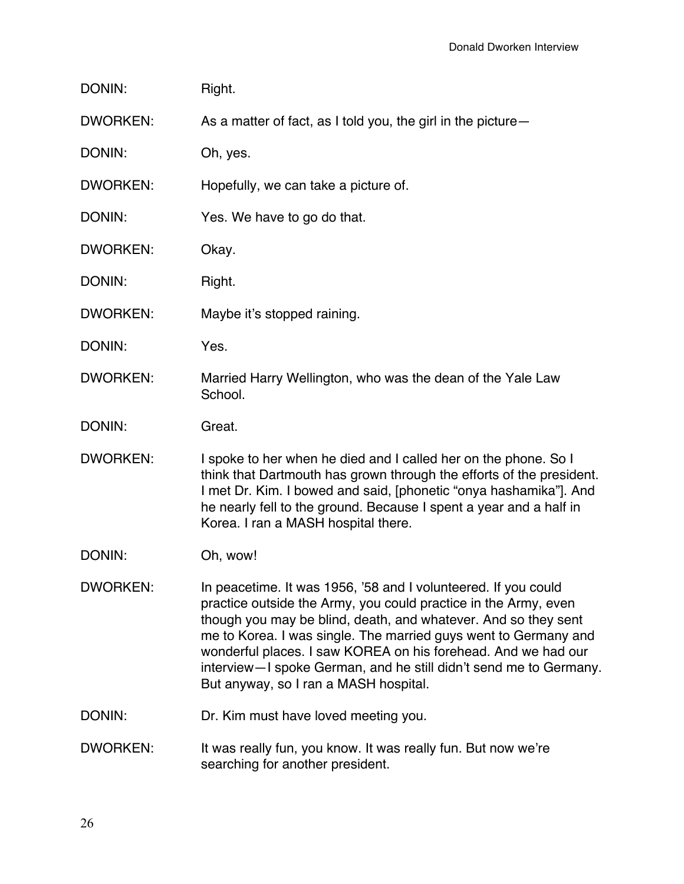| DONIN:          | Right.                                                                                                                                                                                                                                                                                                                                                                                                                                                |  |
|-----------------|-------------------------------------------------------------------------------------------------------------------------------------------------------------------------------------------------------------------------------------------------------------------------------------------------------------------------------------------------------------------------------------------------------------------------------------------------------|--|
| <b>DWORKEN:</b> | As a matter of fact, as I told you, the girl in the picture-                                                                                                                                                                                                                                                                                                                                                                                          |  |
| DONIN:          | Oh, yes.                                                                                                                                                                                                                                                                                                                                                                                                                                              |  |
| <b>DWORKEN:</b> | Hopefully, we can take a picture of.                                                                                                                                                                                                                                                                                                                                                                                                                  |  |
| DONIN:          | Yes. We have to go do that.                                                                                                                                                                                                                                                                                                                                                                                                                           |  |
| <b>DWORKEN:</b> | Okay.                                                                                                                                                                                                                                                                                                                                                                                                                                                 |  |
| DONIN:          | Right.                                                                                                                                                                                                                                                                                                                                                                                                                                                |  |
| <b>DWORKEN:</b> | Maybe it's stopped raining.                                                                                                                                                                                                                                                                                                                                                                                                                           |  |
| DONIN:          | Yes.                                                                                                                                                                                                                                                                                                                                                                                                                                                  |  |
| <b>DWORKEN:</b> | Married Harry Wellington, who was the dean of the Yale Law<br>School.                                                                                                                                                                                                                                                                                                                                                                                 |  |
| DONIN:          | Great.                                                                                                                                                                                                                                                                                                                                                                                                                                                |  |
| <b>DWORKEN:</b> | I spoke to her when he died and I called her on the phone. So I<br>think that Dartmouth has grown through the efforts of the president.<br>I met Dr. Kim. I bowed and said, [phonetic "onya hashamika"]. And<br>he nearly fell to the ground. Because I spent a year and a half in<br>Korea. I ran a MASH hospital there.                                                                                                                             |  |
| DONIN:          | Oh, wow!                                                                                                                                                                                                                                                                                                                                                                                                                                              |  |
| <b>DWORKEN:</b> | In peacetime. It was 1956, '58 and I volunteered. If you could<br>practice outside the Army, you could practice in the Army, even<br>though you may be blind, death, and whatever. And so they sent<br>me to Korea. I was single. The married guys went to Germany and<br>wonderful places. I saw KOREA on his forehead. And we had our<br>interview-I spoke German, and he still didn't send me to Germany.<br>But anyway, so I ran a MASH hospital. |  |
| DONIN:          | Dr. Kim must have loved meeting you.                                                                                                                                                                                                                                                                                                                                                                                                                  |  |
| <b>DWORKEN:</b> | It was really fun, you know. It was really fun. But now we're<br>searching for another president.                                                                                                                                                                                                                                                                                                                                                     |  |